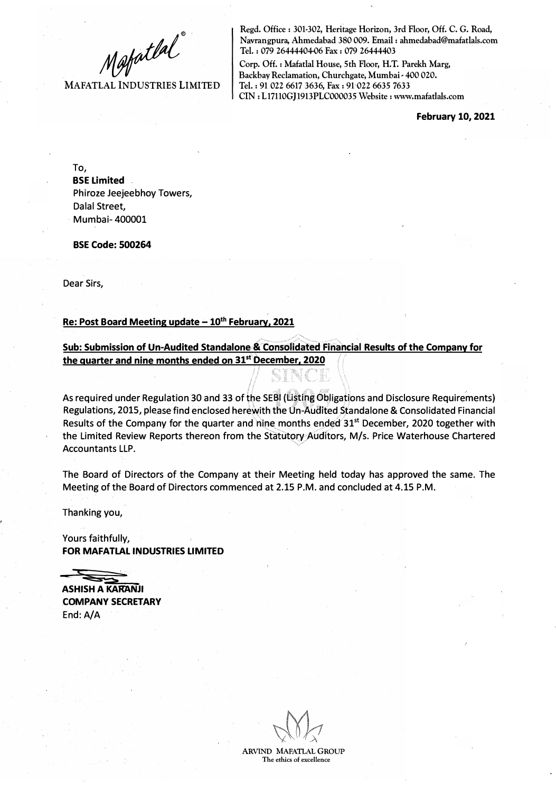Mafatlal<br>MAFATLAL INDUSTRIES LIMITED

**Regd. Office: 301-302, Heritage Horizon, 3rd Floor, Off. C. G. Road, Navrangpura, Ahmedabad 380 009. Email : ahmedabad@mafatlals.com Tel. : 079 26444404-06 Fax : 079 26444403** 

**Corp. Off. : Mafatlal House, 5th Floor, H.T. Parekh Marg, Backbay Reclamation, Churchgate, Mumbai • 400 020. Tel.: 91 022 6617 3636, Fax: 91 022 6635 7633 CIN: L17110GJ1913PLC000035 Website: www.mafatlals.com** 

**February 10, 2021** 

To, **BSE Limited**  Phiroze Jeejeebhoy Towers, Dalal Street, , Mumbai- 400001

**BSE Code: 500264** 

Dear Sirs,

#### **Re: Post Board Meeting update - 10th February, 2021**

**Sub: Submission of Un-Audited Standalone & Consolidated Financial Results of the Company for the quarter and nine months ended on 31st December. 2020** 

As required under Regulation 30 and 33 of the SE�l **(U�ttpg** ?bligations and Disclosure Requirements) Regulations, 2015, please find enclosed herewith the Un-Audited Standalone & Consolidated Financial Results of the Company for the quarter and nine months ended 31<sup>st</sup> December, 2020 together with the Limited Review Reports thereon from the Statutory Auditors, M/s. Price Waterhouse Chartered Accountants LLP.

The Board of Directors of the Company at their Meeting held today has approved the same. The Meeting of the Board of Directors commenced at 2.15 P.M. and concluded at 4.15 P.M.

Thanking you,

Yours faithfully, **FOR MAFATLAL INDUSTRIES LIMITED** 

**ASHISH A KARANJI COMPANY SECRETARY**  End:A/A

**ARVIND MAFATLAL GROUP The ethics of excellence**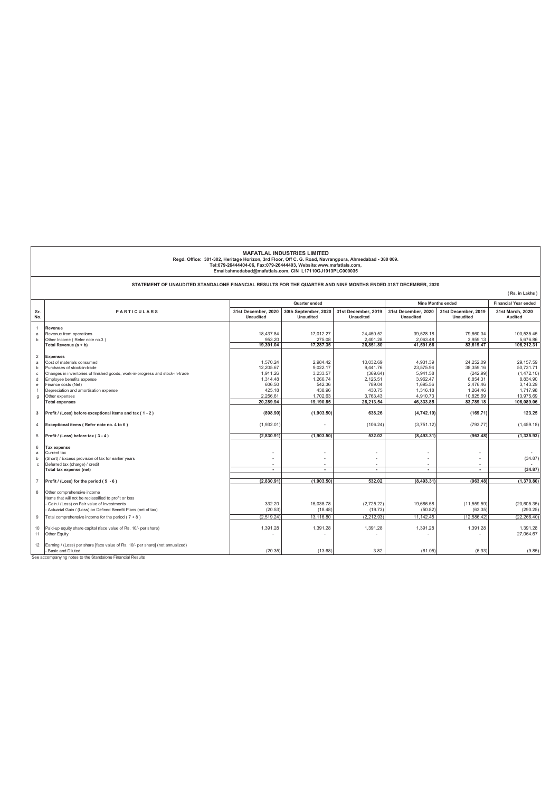|                | <b>MAFATLAL INDUSTRIES LIMITED</b><br>Regd. Office: 301-302, Heritage Horizon, 3rd Floor, Off C. G. Road, Navrangpura, Ahmedabad - 380 009.<br>Tel:079-26444404-06, Fax:079-26444403, Website:www.mafatlals.com,<br>Email:ahmedabad@mafatlals.com, CIN L17110GJ1913PLC000035 |                                           |                                          |                                         |                                         |                                         |                                    |
|----------------|------------------------------------------------------------------------------------------------------------------------------------------------------------------------------------------------------------------------------------------------------------------------------|-------------------------------------------|------------------------------------------|-----------------------------------------|-----------------------------------------|-----------------------------------------|------------------------------------|
|                | STATEMENT OF UNAUDITED STANDALONE FINANCIAL RESULTS FOR THE QUARTER AND NINE MONTHS ENDED 31ST DECEMBER, 2020                                                                                                                                                                |                                           |                                          |                                         |                                         |                                         |                                    |
|                |                                                                                                                                                                                                                                                                              |                                           |                                          |                                         |                                         |                                         | (Rs. in Lakhs)                     |
|                |                                                                                                                                                                                                                                                                              | <b>Nine Months ended</b><br>Quarter ended |                                          |                                         |                                         |                                         | <b>Financial Year ended</b>        |
| Sr.<br>No.     | <b>PARTICULARS</b>                                                                                                                                                                                                                                                           | 31st December, 2020<br><b>Unaudited</b>   | 30th September, 2020<br><b>Unaudited</b> | 31st December, 2019<br><b>Unaudited</b> | 31st December, 2020<br><b>Unaudited</b> | 31st December, 2019<br><b>Unaudited</b> | 31st March, 2020<br><b>Audited</b> |
|                | Revenue                                                                                                                                                                                                                                                                      |                                           |                                          |                                         |                                         |                                         |                                    |
| a              | Revenue from operations                                                                                                                                                                                                                                                      | 18.437.84                                 | 17.012.27                                | 24.450.52                               | 39.528.18                               | 79.660.34                               | 100.535.45                         |
| b              | Other Income (Refer note no.3)                                                                                                                                                                                                                                               | 953.20                                    | 275.08                                   | 2.401.28<br>26.851.80                   | 2.063.48                                | 3,959.13                                | 5.676.86                           |
|                | Total Revenue (a + b)                                                                                                                                                                                                                                                        | 19,391.04                                 | 17,287.35                                |                                         | 41,591.66                               | 83,619.47                               | 106,212.31                         |
| $\overline{c}$ | <b>Expenses</b>                                                                                                                                                                                                                                                              |                                           |                                          |                                         |                                         |                                         |                                    |
| a              | Cost of materials consumed                                                                                                                                                                                                                                                   | 1.570.24                                  | 2.984.42                                 | 10.032.69                               | 4.931.39                                | 24.252.09                               | 29.157.59                          |
| b              | Purchases of stock-in-trade                                                                                                                                                                                                                                                  | 12.205.67                                 | 9.022.17                                 | 9.441.76                                | 23.575.94                               | 38.359.16                               | 50.731.71                          |
| c.             | Changes in inventories of finished goods, work-in-progress and stock-in-trade                                                                                                                                                                                                | 1.911.26                                  | 3,233.57                                 | (369.64)                                | 5.941.58                                | (242.99)                                | (1,472.10)                         |
| $\mathbf d$    | Employee benefits expense                                                                                                                                                                                                                                                    | 1,314.48                                  | 1,266.74                                 | 2,125.51                                | 3,962.47                                | 6,854.31                                | 8,834.90                           |
| e              | Finance costs (Net)<br>Depreciation and amortisation expense                                                                                                                                                                                                                 | 606.50<br>425.18                          | 542.36<br>438.96                         | 789.04<br>430.75                        | 1,695.56<br>1.316.18                    | 2,476.46<br>1,264.46                    | 3,143.29<br>1,717.98               |
| g              | Other expenses                                                                                                                                                                                                                                                               | 2,256.61                                  | 1,702.63                                 | 3,763.43                                | 4,910.73                                | 10,825.69                               | 13,975.69                          |
|                | <b>Total expenses</b>                                                                                                                                                                                                                                                        | 20,289.94                                 | 19,190.85                                | 26,213.54                               | 46,333.85                               | 83,789.18                               | 106.089.06                         |
| 3              | Profit / (Loss) before exceptional items and tax (1-2)                                                                                                                                                                                                                       | (898.90)                                  | (1,903.50)                               | 638.26                                  | (4,742.19)                              | (169.71)                                | 123.25                             |
| $\overline{4}$ | Exceptional items (Refer note no. 4 to 6)                                                                                                                                                                                                                                    | (1,932.01)                                |                                          | (106.24)                                | (3,751.12)                              | (793.77)                                | (1,459.18)                         |
| 5              | Profit / (Loss) before tax (3-4)                                                                                                                                                                                                                                             | (2.830.91)                                | (1.903.50)                               | 532.02                                  | (8.493.31)                              | (963.48)                                | (1, 335.93)                        |
| 6              | <b>Tax expense</b>                                                                                                                                                                                                                                                           |                                           |                                          |                                         |                                         |                                         |                                    |
| a              | Current tax                                                                                                                                                                                                                                                                  |                                           |                                          | ٠                                       | ٠                                       |                                         |                                    |
| h              | (Short) / Excess provision of tax for earlier years                                                                                                                                                                                                                          |                                           |                                          | ä,                                      | ÷,                                      |                                         | (34.87)                            |
| $\mathbf{c}$   | Deferred tax (charge) / credit                                                                                                                                                                                                                                               |                                           |                                          |                                         | ÷                                       |                                         |                                    |
|                | Total tax expense (net)                                                                                                                                                                                                                                                      | $\overline{\phantom{a}}$                  | ÷                                        | ÷                                       | ÷                                       | $\sim$                                  | (34.87)                            |
| $\overline{7}$ | Profit / (Loss) for the period (5 - 6)                                                                                                                                                                                                                                       | (2,830.91)                                | (1,903.50)                               | 532.02                                  | (8.493.31)                              | (963.48)                                | (1,370.80)                         |
| 8              | Other comprehensive income                                                                                                                                                                                                                                                   |                                           |                                          |                                         |                                         |                                         |                                    |
|                | tems that will not be reclassified to profit or loss                                                                                                                                                                                                                         |                                           |                                          |                                         |                                         |                                         |                                    |
|                | Gain / (Loss) on Fair value of Investments                                                                                                                                                                                                                                   | 332.20                                    | 15,038.78                                | (2,725.22)                              | 19,686.58                               | (11, 559.59)                            | (20, 605.35)                       |
|                | Actuarial Gain / (Loss) on Defined Benefit Plans (net of tax)                                                                                                                                                                                                                | (20.53)                                   | (18.48)                                  | (19.73)                                 | (50.82)                                 | (63.35)                                 | (290.25)                           |
| $\overline{9}$ | Total comprehensive income for the period ( $7 + 8$ )                                                                                                                                                                                                                        | (2.519.24)                                | 13.116.80                                | (2.212.93)                              | 11.142.45                               | (12.586.42)                             | (22.266.40)                        |
| 10<br>11       | Paid-up equity share capital (face value of Rs. 10/- per share)<br>Other Equity                                                                                                                                                                                              | 1,391.28                                  | 1,391.28                                 | 1,391.28                                | 1,391.28                                | 1,391.28                                | 1,391.28<br>27,064.67              |
| 12             | Earning / (Loss) per share [face value of Rs. 10/- per share] (not annualized)<br>Basic and Diluted                                                                                                                                                                          | (20.35)                                   | (13.68)                                  | 3.82                                    | (61.05)                                 | (6.93)                                  | (9.85)                             |

See accompanying notes to the Standalone Financial Results

ľ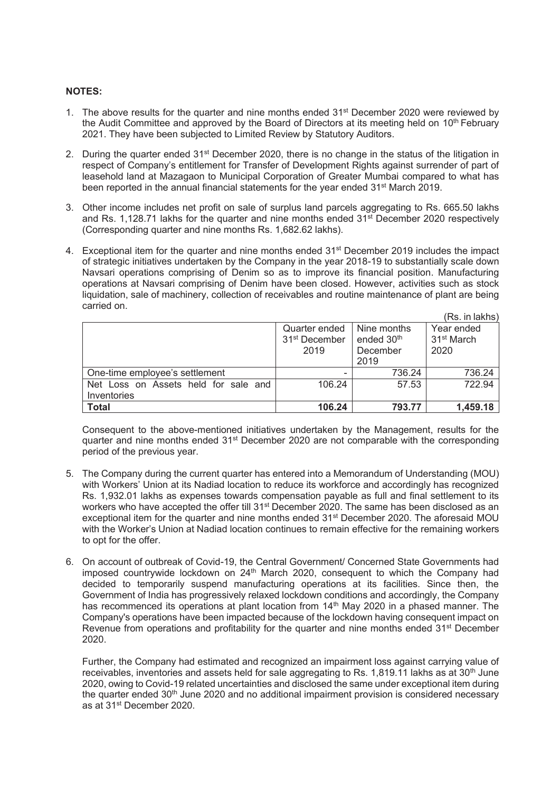#### **NOTES:**

- 1. The above results for the quarter and nine months ended  $31^{st}$  December 2020 were reviewed by the Audit Committee and approved by the Board of Directors at its meeting held on 10<sup>th</sup> February 2021. They have been subjected to Limited Review by Statutory Auditors.
- 2. During the quarter ended 31<sup>st</sup> December 2020, there is no change in the status of the litigation in respect of Company's entitlement for Transfer of Development Rights against surrender of part of leasehold land at Mazagaon to Municipal Corporation of Greater Mumbai compared to what has been reported in the annual financial statements for the year ended 31<sup>st</sup> March 2019.
- 3. Other income includes net profit on sale of surplus land parcels aggregating to Rs. 665.50 lakhs and Rs. 1,128.71 lakhs for the quarter and nine months ended  $31<sup>st</sup>$  December 2020 respectively (Corresponding quarter and nine months Rs. 1,682.62 lakhs).
- 4. Exceptional item for the quarter and nine months ended 31<sup>st</sup> December 2019 includes the impact of strategic initiatives undertaken by the Company in the year 2018-19 to substantially scale down Navsari operations comprising of Denim so as to improve its financial position. Manufacturing operations at Navsari comprising of Denim have been closed. However, activities such as stock liquidation, sale of machinery, collection of receivables and routine maintenance of plant are being carried on.  $\sqrt{R}$  in lake lake lake lake

|                                                     |                                                    |                                                           | (RS. In lakns)                               |
|-----------------------------------------------------|----------------------------------------------------|-----------------------------------------------------------|----------------------------------------------|
|                                                     | Quarter ended<br>31 <sup>st</sup> December<br>2019 | Nine months<br>ended 30 <sup>th</sup><br>December<br>2019 | Year ended<br>31 <sup>st</sup> March<br>2020 |
| One-time employee's settlement                      |                                                    | 736.24                                                    | 736.24                                       |
| Net Loss on Assets held for sale and<br>Inventories | 106.24                                             | 57.53                                                     | 722.94                                       |
| <b>Total</b>                                        | 106.24                                             | 793.77                                                    | 1,459.18                                     |

Consequent to the above-mentioned initiatives undertaken by the Management, results for the quarter and nine months ended 31st December 2020 are not comparable with the corresponding period of the previous year.

- 5. The Company during the current quarter has entered into a Memorandum of Understanding (MOU) with Workers' Union at its Nadiad location to reduce its workforce and accordingly has recognized Rs. 1,932.01 lakhs as expenses towards compensation payable as full and final settlement to its workers who have accepted the offer till 31<sup>st</sup> December 2020. The same has been disclosed as an exceptional item for the quarter and nine months ended 31<sup>st</sup> December 2020. The aforesaid MOU with the Worker's Union at Nadiad location continues to remain effective for the remaining workers to opt for the offer.
- 6. On account of outbreak of Covid-19, the Central Government/ Concerned State Governments had imposed countrywide lockdown on  $24<sup>th</sup>$  March 2020, consequent to which the Company had decided to temporarily suspend manufacturing operations at its facilities. Since then, the Government of India has progressively relaxed lockdown conditions and accordingly, the Company has recommenced its operations at plant location from 14<sup>th</sup> May 2020 in a phased manner. The Company's operations have been impacted because of the lockdown having consequent impact on Revenue from operations and profitability for the quarter and nine months ended 31<sup>st</sup> December 2020.

Further, the Company had estimated and recognized an impairment loss against carrying value of receivables, inventories and assets held for sale aggregating to Rs. 1,819.11 lakhs as at  $30<sup>th</sup>$  June 2020, owing to Covid-19 related uncertainties and disclosed the same under exceptional item during the quarter ended 30<sup>th</sup> June 2020 and no additional impairment provision is considered necessary as at 31st December 2020.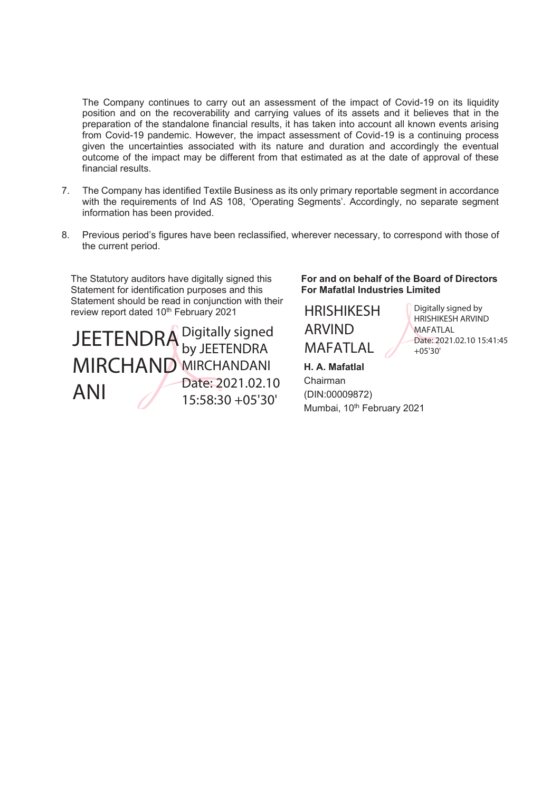The Company continues to carry out an assessment of the impact of Covid-19 on its liquidity position and on the recoverability and carrying values of its assets and it believes that in the preparation of the standalone financial results, it has taken into account all known events arising from Covid-19 pandemic. However, the impact assessment of Covid-19 is a continuing process given the uncertainties associated with its nature and duration and accordingly the eventual outcome of the impact may be different from that estimated as at the date of approval of these financial results.

- 7. The Company has identified Textile Business as its only primary reportable segment in accordance with the requirements of Ind AS 108, 'Operating Segments'. Accordingly, no separate segment information has been provided.
- 8. Previous period's figures have been reclassified, wherever necessary, to correspond with those of the current period.

The Statutory auditors have digitally signed this Statement for identification purposes and this Statement should be read in conjunction with their review report dated 10<sup>th</sup> February 2021

JEETENDRA<sup>Digitally signed</sup> MIRCHAND MIRCHANDANI ANI by JEETENDRA Date: 2021.02.10 15:58:30 +05'30'

**For and on behalf of the Board of Directors For Mafatlal Industries Limited** 

HRISHIKESH ARVIND **MAFATLAL** 

**H. A. Mafatlal**  Chairman (DIN:00009872) Mumbai, 10<sup>th</sup> February 2021

Digitally signed by HRISHIKESH ARVIND MAFATLAL Date: 2021.02.10 15:41:45 +05'30'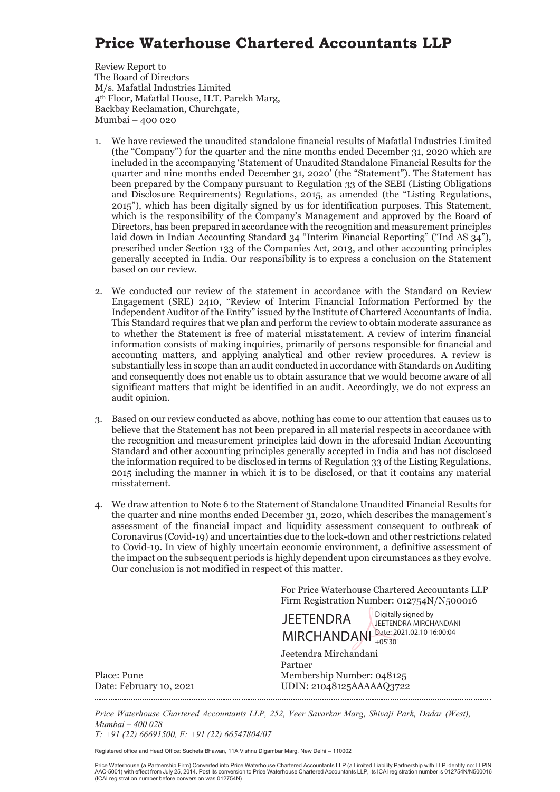### **Price Waterhouse Chartered Accountants LLP**

Review Report to The Board of Directors M/s. Mafatlal Industries Limited 4th Floor, Mafatlal House, H.T. Parekh Marg, Backbay Reclamation, Churchgate, Mumbai – 400 020

- 1. We have reviewed the unaudited standalone financial results of Mafatlal Industries Limited (the "Company") for the quarter and the nine months ended December 31, 2020 which are included in the accompanying 'Statement of Unaudited Standalone Financial Results for the quarter and nine months ended December 31, 2020' (the "Statement"). The Statement has been prepared by the Company pursuant to Regulation 33 of the SEBI (Listing Obligations and Disclosure Requirements) Regulations, 2015, as amended (the "Listing Regulations, 2015"), which has been digitally signed by us for identification purposes. This Statement, which is the responsibility of the Company's Management and approved by the Board of Directors, has been prepared in accordance with the recognition and measurement principles laid down in Indian Accounting Standard 34 "Interim Financial Reporting" ("Ind AS 34"), prescribed under Section 133 of the Companies Act, 2013, and other accounting principles generally accepted in India. Our responsibility is to express a conclusion on the Statement based on our review.
- 2. We conducted our review of the statement in accordance with the Standard on Review Engagement (SRE) 2410, "Review of Interim Financial Information Performed by the Independent Auditor of the Entity" issued by the Institute of Chartered Accountants of India. This Standard requires that we plan and perform the review to obtain moderate assurance as to whether the Statement is free of material misstatement. A review of interim financial information consists of making inquiries, primarily of persons responsible for financial and accounting matters, and applying analytical and other review procedures. A review is substantially less in scope than an audit conducted in accordance with Standards on Auditing and consequently does not enable us to obtain assurance that we would become aware of all significant matters that might be identified in an audit. Accordingly, we do not express an audit opinion.
- 3. Based on our review conducted as above, nothing has come to our attention that causes us to believe that the Statement has not been prepared in all material respects in accordance with the recognition and measurement principles laid down in the aforesaid Indian Accounting Standard and other accounting principles generally accepted in India and has not disclosed the information required to be disclosed in terms of Regulation 33 of the Listing Regulations, 2015 including the manner in which it is to be disclosed, or that it contains any material misstatement.
- 4. We draw attention to Note 6 to the Statement of Standalone Unaudited Financial Results for the quarter and nine months ended December 31, 2020, which describes the management's assessment of the financial impact and liquidity assessment consequent to outbreak of Coronavirus (Covid-19) and uncertainties due to the lock-down and other restrictions related to Covid-19. In view of highly uncertain economic environment, a definitive assessment of the impact on the subsequent periods is highly dependent upon circumstances as they evolve. Our conclusion is not modified in respect of this matter.

For Price Waterhouse Chartered Accountants LLP Firm Registration Number: 012754N/N500016

**JEETENDRA** Digitally signed by JEETENDRA MIRCHANDANI

Jeetendra Mirchandani MIRCHANDANI Date: 2021.02.10 16:00:04 +05'30'

Partner Place: Pune Membership Number: 048125 Date: February 10, 2021 UDIN: 21048125AAAAAQ3722

*Price Waterhouse Chartered Accountants LLP, 252, Veer Savarkar Marg, Shivaji Park, Dadar (West), Mumbai – 400 028 T: +91 (22) 66691500, F: +91 (22) 66547804/07* 

Registered office and Head Office: Sucheta Bhawan, 11A Vishnu Digambar Marg, New Delhi – 110002

Price Waterhouse (a Partnership Firm) Converted into Price Waterhouse Chartered Accountants LLP (a Limited Liability Partnership with LLP identity no: LLPIN<br>AAC-5001) with effect from July 25, 2014. Post its conversion to (ICAI registration number before conversion was 012754N)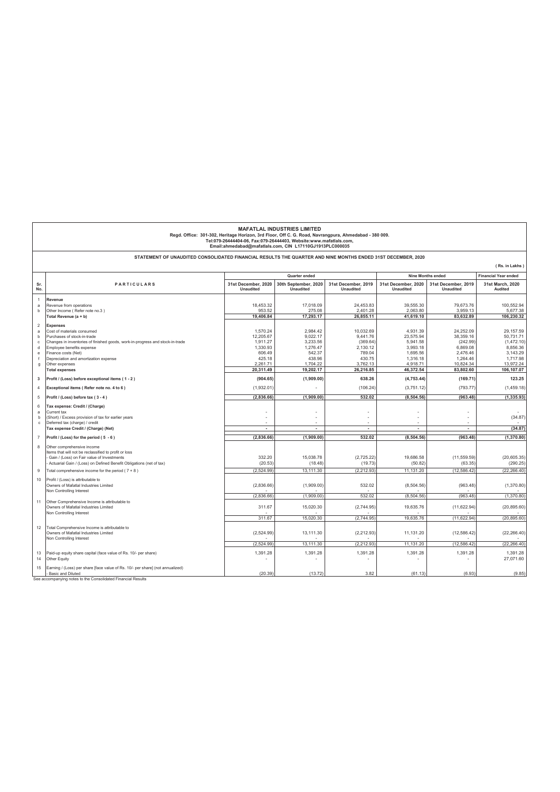| <b>MAFATLAL INDUSTRIES LIMITED</b><br>Regd. Office: 301-302, Heritage Horizon, 3rd Floor, Off C. G. Road, Navrangpura, Ahmedabad - 380 009.<br>Tel:079-26444404-06, Fax:079-26444403, Website:www.mafatlals.com,<br>Email:ahmedabad@mafatlals.com, CIN L17110GJ1913PLC000035 |                                                                                                                    |                                         |                                          |                                         |                                         |                                                         |                             |
|------------------------------------------------------------------------------------------------------------------------------------------------------------------------------------------------------------------------------------------------------------------------------|--------------------------------------------------------------------------------------------------------------------|-----------------------------------------|------------------------------------------|-----------------------------------------|-----------------------------------------|---------------------------------------------------------|-----------------------------|
|                                                                                                                                                                                                                                                                              | STATEMENT OF UNAUDITED CONSOLIDATED FINANCIAL RESULTS THE QUARTER AND NINE MONTHS ENDED 31ST DECEMBER, 2020        |                                         |                                          |                                         |                                         |                                                         |                             |
|                                                                                                                                                                                                                                                                              |                                                                                                                    |                                         |                                          |                                         |                                         |                                                         | (Rs. in Lakhs)              |
|                                                                                                                                                                                                                                                                              |                                                                                                                    | Quarter ended                           |                                          |                                         |                                         | <b>Nine Months ended</b><br><b>Financial Year ended</b> |                             |
| Sr.<br>No.                                                                                                                                                                                                                                                                   | PARTICULARS                                                                                                        | 31st December, 2020<br><b>Unaudited</b> | 30th September, 2020<br><b>Unaudited</b> | 31st December, 2019<br><b>Unaudited</b> | 31st December, 2020<br><b>Unaudited</b> | 31st December, 2019<br><b>Unaudited</b>                 | 31st March, 2020<br>Audited |
| $\overline{1}$                                                                                                                                                                                                                                                               | Revenue                                                                                                            |                                         |                                          |                                         |                                         |                                                         |                             |
| a                                                                                                                                                                                                                                                                            | Revenue from operations                                                                                            | 18.453.32                               | 17.018.09                                | 24.453.83                               | 39.555.30                               | 79.673.76                                               | 100.552.94                  |
| b                                                                                                                                                                                                                                                                            | Other Income (Refer note no.3)<br>Total Revenue (a + b)                                                            | 953.52<br>19,406.84                     | 275.08<br>17,293.17                      | 2,401.28<br>26,855.11                   | 2,063.80<br>41,619.10                   | 3,959.13<br>83.632.89                                   | 5,677.38<br>106,230.32      |
|                                                                                                                                                                                                                                                                              |                                                                                                                    |                                         |                                          |                                         |                                         |                                                         |                             |
| $\overline{2}$<br>a                                                                                                                                                                                                                                                          | <b>Expenses</b><br>Cost of materials consumed                                                                      | 1.570.24                                | 2.984.42                                 | 10.032.69                               | 4.931.39                                | 24.252.09                                               | 29.157.59                   |
| b                                                                                                                                                                                                                                                                            | Purchases of stock-in-trade                                                                                        | 12.205.67                               | 9.022.17                                 | 9.441.76                                | 23.575.94                               | 38.359.16                                               | 50,731.71                   |
| $\mathbf c$                                                                                                                                                                                                                                                                  | Changes in inventories of finished goods, work-in-progress and stock-in-trade                                      | 1,911.27                                | 3,233.56                                 | (369.64)                                | 5,941.58                                | (242.99)                                                | (1,472.10)                  |
| d                                                                                                                                                                                                                                                                            | Employee benefits expense                                                                                          | 1,330.93                                | 1,276.47                                 | 2,130.12                                | 3,993.18                                | 6,869.08                                                | 8,856.36                    |
| e                                                                                                                                                                                                                                                                            | Finance costs (Net)                                                                                                | 606.49                                  | 542.37                                   | 789.04                                  | 1.695.56                                | 2.476.46                                                | 3,143.29                    |
| g                                                                                                                                                                                                                                                                            | Depreciation and amortization expense<br>Other expenses                                                            | 425.18<br>2,261.71                      | 438.96<br>1,704.22                       | 430.75<br>3,762.13                      | 1,316.18<br>4,918.71                    | 1,264.46<br>10,824.34                                   | 1,717.98<br>13,972.24       |
|                                                                                                                                                                                                                                                                              | <b>Total expenses</b>                                                                                              | 20,311.49                               | 19,202.17                                | 26,216.85                               | 46,372.54                               | 83,802.60                                               | 106,107.07                  |
| 3                                                                                                                                                                                                                                                                            | Profit / (Loss) before exceptional items (1-2)                                                                     | (904.65)                                | (1,909.00)                               | 638.26                                  | (4,753.44)                              | (169.71)                                                | 123.25                      |
| $\overline{4}$                                                                                                                                                                                                                                                               | Exceptional items (Refer note no. 4 to 6)                                                                          | (1,932.01)                              |                                          | (106.24)                                | (3,751.12)                              | (793.77)                                                | (1,459.18)                  |
| 5                                                                                                                                                                                                                                                                            | Profit / (Loss) before tax (3-4)                                                                                   | (2,836.66)                              | (1,909.00)                               | 532.02                                  | (8, 504.56)                             | (963.48)                                                | (1, 335.93)                 |
| 6                                                                                                                                                                                                                                                                            | Tax expense: Credit / (Charge)                                                                                     |                                         |                                          |                                         |                                         |                                                         |                             |
| a                                                                                                                                                                                                                                                                            | Current tax                                                                                                        |                                         |                                          |                                         |                                         |                                                         |                             |
| b                                                                                                                                                                                                                                                                            | (Short) / Excess provision of tax for earlier years                                                                |                                         |                                          |                                         |                                         |                                                         | (34.87)                     |
| $\mathbf c$                                                                                                                                                                                                                                                                  | Deferred tax (charge) / credit                                                                                     |                                         |                                          |                                         |                                         |                                                         |                             |
|                                                                                                                                                                                                                                                                              | Tax expense Credit / (Charge) (Net)                                                                                | $\blacksquare$                          | $\sim$                                   | $\overline{\phantom{a}}$                | $\blacksquare$                          | $\sim$                                                  | (34.87)                     |
| $\scriptstyle{7}$                                                                                                                                                                                                                                                            | Profit / (Loss) for the period (5 - 6)                                                                             | (2,836.66)                              | (1,909.00)                               | 532.02                                  | (8, 504.56)                             | (963, 48)                                               | (1,370.80)                  |
| 8                                                                                                                                                                                                                                                                            | Other comprehensive income                                                                                         |                                         |                                          |                                         |                                         |                                                         |                             |
|                                                                                                                                                                                                                                                                              | Items that will not be reclassified to profit or loss                                                              |                                         |                                          |                                         |                                         |                                                         |                             |
|                                                                                                                                                                                                                                                                              | Gain / (Loss) on Fair value of Investments<br>Actuarial Gain / (Loss) on Defined Benefit Obligations (net of tax)  | 332.20<br>(20.53)                       | 15,038.78<br>(18.48)                     | (2,725.22)<br>(19.73)                   | 19,686.58<br>(50.82)                    | (11, 559.59)<br>(63.35)                                 | (20, 605.35)<br>(290.25)    |
| 9                                                                                                                                                                                                                                                                            | Total comprehensive income for the period (7 + 8)                                                                  | (2,524.99)                              | 13,111.30                                | (2, 212.93)                             | 11,131.20                               | (12, 586.42)                                            | (22, 266.40)                |
|                                                                                                                                                                                                                                                                              |                                                                                                                    |                                         |                                          |                                         |                                         |                                                         |                             |
| 10                                                                                                                                                                                                                                                                           | Profit / (Loss) is attributable to<br>Owners of Mafatlal Industries Limited                                        | (2,836.66)                              | (1,909.00)                               | 532.02                                  | (8,504.56)                              | (963.48)                                                | (1,370.80)                  |
|                                                                                                                                                                                                                                                                              | Non Controlling Interest                                                                                           | (2,836.66)                              | (1,909.00)                               | 532.02                                  | (8, 504.56)                             | (963.48)                                                | (1,370.80)                  |
| 11                                                                                                                                                                                                                                                                           | Other Comprehensive Income is attributable to<br>Owners of Mafatlal Industries Limited                             | 311.67                                  | 15,020.30                                | (2,744.95)                              | 19,635.76                               | (11, 622.94)                                            | (20, 895.60)                |
|                                                                                                                                                                                                                                                                              | Non Controlling Interest                                                                                           |                                         |                                          |                                         |                                         |                                                         |                             |
|                                                                                                                                                                                                                                                                              |                                                                                                                    | 311.67                                  | 15,020.30                                | (2,744.95)                              | 19,635.76                               | (11,622.94)                                             | (20, 895.60)                |
| 12                                                                                                                                                                                                                                                                           | Total Comprehensive Income is attributable to<br>Owners of Mafatlal Industries Limited<br>Non Controlling Interest | (2,524.99)                              | 13.111.30                                | (2,212.93)                              | 11,131.20                               | (12, 586.42)                                            | (22, 266.40)                |
|                                                                                                                                                                                                                                                                              |                                                                                                                    | (2,524.99)                              | 13,111.30                                | (2, 212.93)                             | 11,131.20                               | (12, 586.42)                                            | (22, 266.40)                |
| 13<br>14                                                                                                                                                                                                                                                                     | Paid-up equity share capital (face value of Rs. 10/- per share)<br>Other Equity                                    | 1,391.28                                | 1.391.28                                 | 1.391.28                                | 1.391.28                                | 1.391.28                                                | 1.391.28<br>27,071.60       |
| 15                                                                                                                                                                                                                                                                           | Earning / (Loss) per share [face value of Rs. 10/- per share] (not annualized)<br><b>Basic and Diluted</b>         | (20.39)                                 | (13.72)                                  | 3.82                                    | (61.13)                                 | (6.93)                                                  | (9.85)                      |

 $\overline{\phantom{a}}$ 

See accompanying notes to the Consolidated Financial Results

 $\Gamma$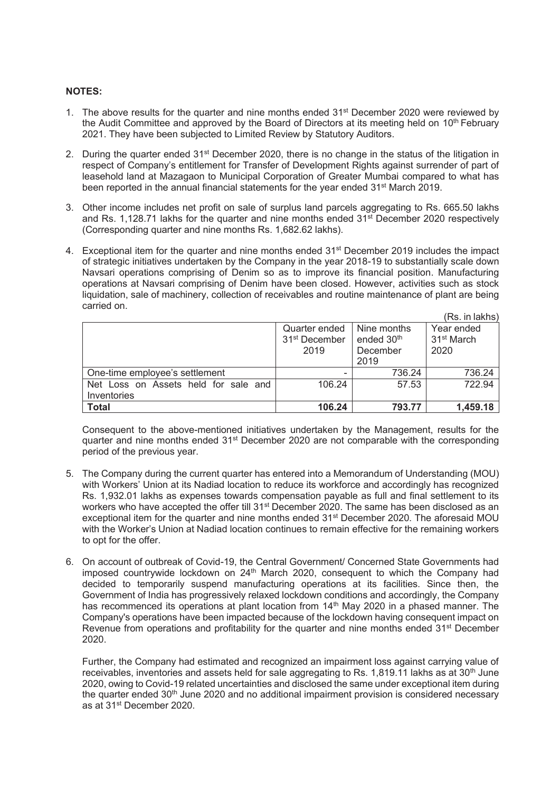#### **NOTES:**

- 1. The above results for the quarter and nine months ended  $31^{st}$  December 2020 were reviewed by the Audit Committee and approved by the Board of Directors at its meeting held on 10<sup>th</sup> February 2021. They have been subjected to Limited Review by Statutory Auditors.
- 2. During the quarter ended 31<sup>st</sup> December 2020, there is no change in the status of the litigation in respect of Company's entitlement for Transfer of Development Rights against surrender of part of leasehold land at Mazagaon to Municipal Corporation of Greater Mumbai compared to what has been reported in the annual financial statements for the year ended 31<sup>st</sup> March 2019.
- 3. Other income includes net profit on sale of surplus land parcels aggregating to Rs. 665.50 lakhs and Rs. 1,128.71 lakhs for the quarter and nine months ended  $31<sup>st</sup>$  December 2020 respectively (Corresponding quarter and nine months Rs. 1,682.62 lakhs).
- 4. Exceptional item for the quarter and nine months ended 31<sup>st</sup> December 2019 includes the impact of strategic initiatives undertaken by the Company in the year 2018-19 to substantially scale down Navsari operations comprising of Denim so as to improve its financial position. Manufacturing operations at Navsari comprising of Denim have been closed. However, activities such as stock liquidation, sale of machinery, collection of receivables and routine maintenance of plant are being carried on.  $\sqrt{R}$  in lake lake lake lake

|                                                     |                                                    |                                                           | (RS. In lakns)                               |
|-----------------------------------------------------|----------------------------------------------------|-----------------------------------------------------------|----------------------------------------------|
|                                                     | Quarter ended<br>31 <sup>st</sup> December<br>2019 | Nine months<br>ended 30 <sup>th</sup><br>December<br>2019 | Year ended<br>31 <sup>st</sup> March<br>2020 |
| One-time employee's settlement                      |                                                    | 736.24                                                    | 736.24                                       |
| Net Loss on Assets held for sale and<br>Inventories | 106.24                                             | 57.53                                                     | 722.94                                       |
| <b>Total</b>                                        | 106.24                                             | 793.77                                                    | 1,459.18                                     |

Consequent to the above-mentioned initiatives undertaken by the Management, results for the quarter and nine months ended 31st December 2020 are not comparable with the corresponding period of the previous year.

- 5. The Company during the current quarter has entered into a Memorandum of Understanding (MOU) with Workers' Union at its Nadiad location to reduce its workforce and accordingly has recognized Rs. 1,932.01 lakhs as expenses towards compensation payable as full and final settlement to its workers who have accepted the offer till 31<sup>st</sup> December 2020. The same has been disclosed as an exceptional item for the quarter and nine months ended 31<sup>st</sup> December 2020. The aforesaid MOU with the Worker's Union at Nadiad location continues to remain effective for the remaining workers to opt for the offer.
- 6. On account of outbreak of Covid-19, the Central Government/ Concerned State Governments had imposed countrywide lockdown on  $24<sup>th</sup>$  March 2020, consequent to which the Company had decided to temporarily suspend manufacturing operations at its facilities. Since then, the Government of India has progressively relaxed lockdown conditions and accordingly, the Company has recommenced its operations at plant location from 14<sup>th</sup> May 2020 in a phased manner. The Company's operations have been impacted because of the lockdown having consequent impact on Revenue from operations and profitability for the quarter and nine months ended 31<sup>st</sup> December 2020.

Further, the Company had estimated and recognized an impairment loss against carrying value of receivables, inventories and assets held for sale aggregating to Rs. 1,819.11 lakhs as at  $30<sup>th</sup>$  June 2020, owing to Covid-19 related uncertainties and disclosed the same under exceptional item during the quarter ended 30<sup>th</sup> June 2020 and no additional impairment provision is considered necessary as at 31st December 2020.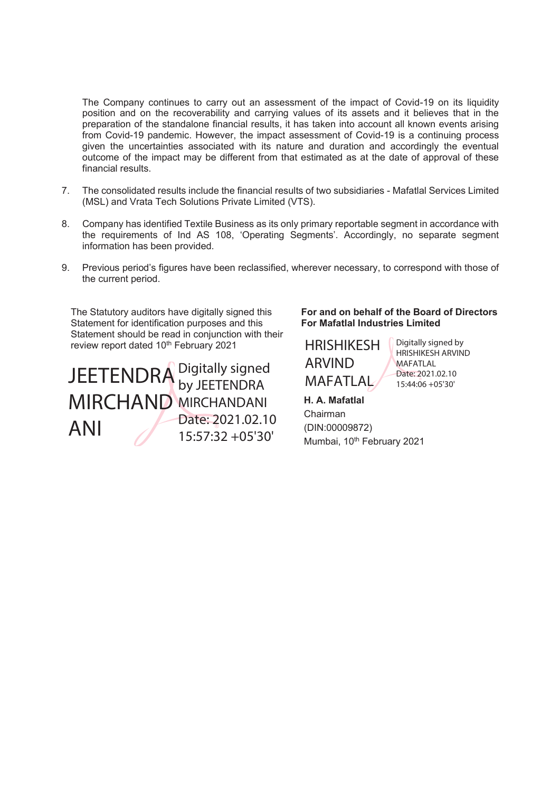The Company continues to carry out an assessment of the impact of Covid-19 on its liquidity position and on the recoverability and carrying values of its assets and it believes that in the preparation of the standalone financial results, it has taken into account all known events arising from Covid-19 pandemic. However, the impact assessment of Covid-19 is a continuing process given the uncertainties associated with its nature and duration and accordingly the eventual outcome of the impact may be different from that estimated as at the date of approval of these financial results.

- 7. The consolidated results include the financial results of two subsidiaries Mafatlal Services Limited (MSL) and Vrata Tech Solutions Private Limited (VTS).
- 8. Company has identified Textile Business as its only primary reportable segment in accordance with the requirements of Ind AS 108, 'Operating Segments'. Accordingly, no separate segment information has been provided.
- 9. Previous period's figures have been reclassified, wherever necessary, to correspond with those of the current period.

The Statutory auditors have digitally signed this Statement for identification purposes and this Statement should be read in conjunction with their review report dated 10<sup>th</sup> February 2021

 $\text{JEETENDRA}$  Digitally signed<br>MAFATLAL  $\text{Date: }2021.02.102$ <br>MAFATLAL  $\text{Date: }2021.02.102$ MIRCHAND MIRCHANDANI ANI by JEETENDRA Date: 2021.02.10 15:57:32 +05'30'

### **For and on behalf of the Board of Directors For Mafatlal Industries Limited**



Digitally signed by HRISHIKESH ARVIND **MAFATLAL** Date: 2021.02.10

**H. A. Mafatlal**  Chairman

(DIN:00009872) Mumbai, 10<sup>th</sup> February 2021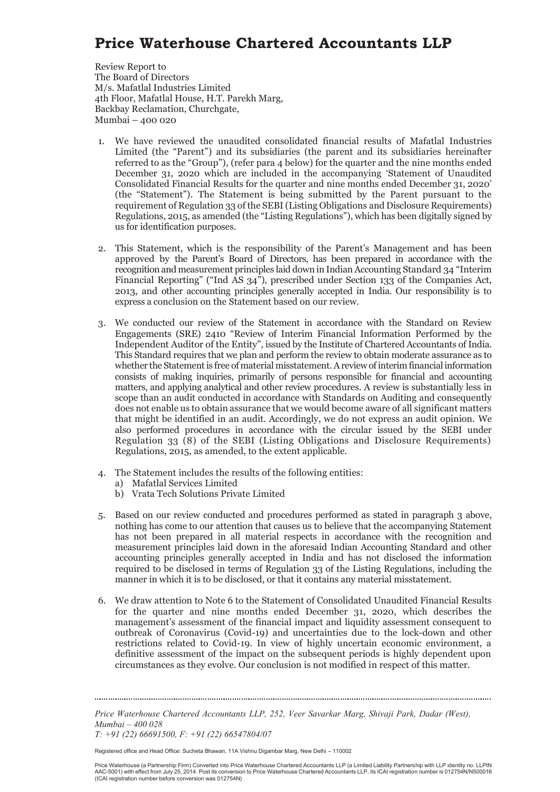## **Price Waterhouse Chartered Accountants LLP**

Review Report to The Board of Directors M/s. Mafatlal Industries Limited 4th Floor, Mafatlal House, H.T. Parekh Marg, Backbay Reclamation, Churchgate, Mumbai – 400 020

- 1. We have reviewed the unaudited consolidated financial results of Mafatlal Industries Limited (the "Parent") and its subsidiaries (the parent and its subsidiaries hereinafter referred to as the "Group"), (refer para 4 below) for the quarter and the nine months ended December 31, 2020 which are included in the accompanying 'Statement of Unaudited Consolidated Financial Results for the quarter and nine months ended December 31, 2020' (the "Statement"). The Statement is being submitted by the Parent pursuant to the requirement of Regulation 33 of the SEBI (Listing Obligations and Disclosure Requirements) Regulations, 2015, as amended (the "Listing Regulations"), which has been digitally signed by us for identification purposes.
- 2. This Statement, which is the responsibility of the Parent's Management and has been approved by the Parent's Board of Directors, has been prepared in accordance with the recognition and measurement principles laid down in Indian Accounting Standard 34 "Interim Financial Reporting" ("Ind AS 34"), prescribed under Section 133 of the Companies Act, 2013, and other accounting principles generally accepted in India. Our responsibility is to express a conclusion on the Statement based on our review.
- 3. We conducted our review of the Statement in accordance with the Standard on Review Engagements (SRE) 2410 "Review of Interim Financial Information Performed by the Independent Auditor of the Entity"*,* issued by the Institute of Chartered Accountants of India. This Standard requires that we plan and perform the review to obtain moderate assurance as to whether the Statement is free of material misstatement. A review of interim financial information consists of making inquiries, primarily of persons responsible for financial and accounting matters, and applying analytical and other review procedures. A review is substantially less in scope than an audit conducted in accordance with Standards on Auditing and consequently does not enable us to obtain assurance that we would become aware of all significant matters that might be identified in an audit. Accordingly, we do not express an audit opinion. We also performed procedures in accordance with the circular issued by the SEBI under Regulation 33 (8) of the SEBI (Listing Obligations and Disclosure Requirements) Regulations, 2015, as amended, to the extent applicable.
- 4. The Statement includes the results of the following entities:
	- a) Mafatlal Services Limited
	- b) Vrata Tech Solutions Private Limited
- 5. Based on our review conducted and procedures performed as stated in paragraph 3 above, nothing has come to our attention that causes us to believe that the accompanying Statement has not been prepared in all material respects in accordance with the recognition and measurement principles laid down in the aforesaid Indian Accounting Standard and other accounting principles generally accepted in India and has not disclosed the information required to be disclosed in terms of Regulation 33 of the Listing Regulations, including the manner in which it is to be disclosed, or that it contains any material misstatement.
- 6. We draw attention to Note 6 to the Statement of Consolidated Unaudited Financial Results for the quarter and nine months ended December 31, 2020, which describes the management's assessment of the financial impact and liquidity assessment consequent to outbreak of Coronavirus (Covid-19) and uncertainties due to the lock-down and other restrictions related to Covid-19. In view of highly uncertain economic environment, a definitive assessment of the impact on the subsequent periods is highly dependent upon circumstances as they evolve. Our conclusion is not modified in respect of this matter.

*Price Waterhouse Chartered Accountants LLP, 252, Veer Savarkar Marg, Shivaji Park, Dadar (West), Mumbai – 400 028 T: +91 (22) 66691500, F: +91 (22) 66547804/07* 

Registered office and Head Office: Sucheta Bhawan, 11A Vishnu Digambar Marg, New Delhi – 110002

Price Waterhouse (a Partnership Firm) Converted into Price Waterhouse Chartered Accountants LLP (a Limited Liability Partnership with LLP identity no: LLPIN AAC-5001) with effect from July 25, 2014. Post its conversion to Price Waterhouse Chartered Accountants LLP, its ICAI registration number is 012754N/N500016 (ICAI registration number before conversion was 012754N)